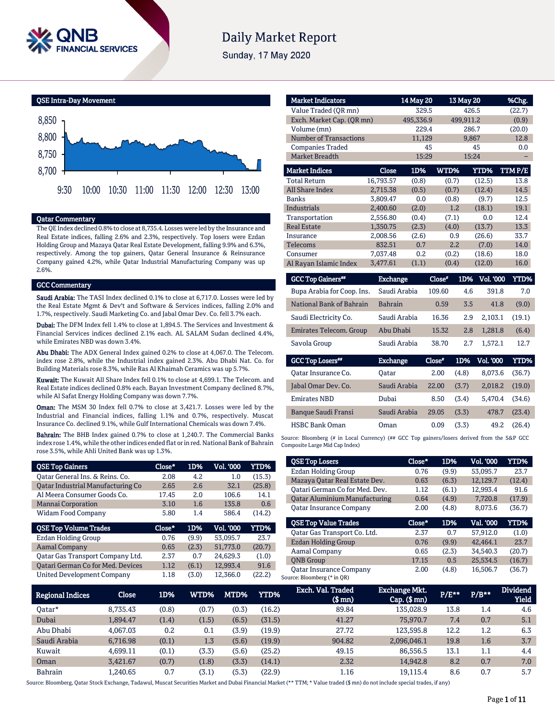

# **Daily Market Report**

Sunday, 17 May 2020

QSE Intra-Day Movement 8,700 8,750 8,800 8,850 9:30 10:00 10:30 11:00 11:30 12:00 12:30 13:00

# Qatar Commentary

The QE Index declined 0.8% to close at 8,735.4. Losses were led by the Insurance and Real Estate indices, falling 2.6% and 2.3%, respectively. Top losers were Ezdan Holding Group and Mazaya Qatar Real Estate Development, falling 9.9% and 6.3%, respectively. Among the top gainers, Qatar General Insurance & Reinsurance Company gained 4.2%, while Qatar Industrial Manufacturing Company was up 2.6%.

# **GCC Commentary**

Saudi Arabia: The TASI Index declined 0.1% to close at 6,717.0. Losses were led by the Real Estate Mgmt & Dev't and Software & Services indices, falling 2.0% and 1.7%, respectively. Saudi Marketing Co. and Jabal Omar Dev. Co. fell 3.7% each.

Dubai: The DFM Index fell 1.4% to close at 1,894.5. The Services and Investment & Financial Services indices declined 2.1% each. AL SALAM Sudan declined 4.4%, while Emirates NBD was down 3.4%.

Abu Dhabi: The ADX General Index gained 0.2% to close at 4,067.0. The Telecom. index rose 2.8%, while the Industrial index gained 2.3%. Abu Dhabi Nat. Co. for Building Materials rose 8.3%, while Ras Al Khaimah Ceramics was up 5.7%.

Kuwait: The Kuwait All Share Index fell 0.1% to close at 4,699.1. The Telecom. and Real Estate indices declined 0.8% each. Bayan Investment Company declined 8.7%, while Al Safat Energy Holding Company was down 7.7%.

Oman: The MSM 30 Index fell 0.7% to close at 3,421.7. Losses were led by the Industrial and Financial indices, falling 1.1% and 0.7%, respectively. Muscat Insurance Co. declined 9.1%, while Gulf International Chemicals was down 7.4%.

Bahrain: The BHB Index gained 0.7% to close at 1,240.7. The Commercial Banks index rose 1.4%, while the other indices ended flat or in red. National Bank of Bahrain rose 3.5%, while Ahli United Bank was up 1.3%.

| <b>QSE Top Gainers</b>                   | Close* | 1D%   | <b>Vol. '000</b> | YTD%   |
|------------------------------------------|--------|-------|------------------|--------|
| Oatar General Ins. & Reins. Co.          | 2.08   | 4.2   | 1.0              | (15.3) |
| Oatar Industrial Manufacturing Co        | 2.65   | 2.6   | 32.1             | (25.8) |
| Al Meera Consumer Goods Co.              | 17.45  | 2.0   | 106.6            | 14.1   |
| <b>Mannai Corporation</b>                | 3.10   | 1.6   | 135.8            | 0.6    |
| <b>Widam Food Company</b>                | 5.80   | 1.4   | 586.4            | (14.2) |
|                                          |        |       |                  |        |
| <b>QSE Top Volume Trades</b>             | Close* | 1D%   | Vol. '000        | YTD%   |
| Ezdan Holding Group                      | 0.76   | (9.9) | 53.095.7         | 23.7   |
| <b>Aamal Company</b>                     | 0.65   | (2.3) | 51.773.0         | (20.7) |
| Qatar Gas Transport Company Ltd.         | 2.37   | 0.7   | 24.629.3         | (1.0)  |
| <b>Qatari German Co for Med. Devices</b> | 1.12   | (6.1) | 12.993.4         | 91.6   |

| <b>Market Indicators</b>      |           | 14 May 20 |       | 13 May 20   | %Chg.  |
|-------------------------------|-----------|-----------|-------|-------------|--------|
| Value Traded (OR mn)          |           | 329.5     |       | 426.5       | (22.7) |
| Exch. Market Cap. (OR mn)     |           | 495,336.9 |       | 499,911.2   | (0.9)  |
| Volume (mn)                   |           | 229.4     |       | 286.7       | (20.0) |
| <b>Number of Transactions</b> |           | 11,129    |       | 9,867       | 12.8   |
| <b>Companies Traded</b>       |           | 45        |       | 45          | 0.0    |
| <b>Market Breadth</b>         |           | 15:29     |       | 15:24       |        |
| <b>Market Indices</b>         | Close     | 1D%       | WTD%  | <b>YTD%</b> | TTMP/E |
| <b>Total Return</b>           | 16,793.57 | (0.8)     | (0.7) | (12.5)      | 13.8   |
| <b>All Share Index</b>        | 2,715.38  | (0.5)     | (0.7) | (12.4)      | 14.5   |
| <b>Banks</b>                  | 3,809.47  | 0.0       | (0.8) | (9.7)       | 12.5   |
| <b>Industrials</b>            | 2,400.60  | (2.0)     | 1.2   | (18.1)      | 19.1   |
| Transportation                | 2,556.80  | (0.4)     | (7.1) | 0.0         | 12.4   |
| <b>Real Estate</b>            | 1,350.75  | (2.3)     | (4.0) | (13.7)      | 13.3   |
| Insurance                     | 2,008.56  | (2.6)     | 0.9   | (26.6)      | 33.7   |
| Telecoms                      | 832.51    | 0.7       | 2.2   | (7.0)       | 14.0   |
| Consumer                      | 7,037.48  | 0.2       | (0.2) | (18.6)      | 18.0   |
| Al Rayan Islamic Index        | 3,477.61  | (1.1)     | (0.4) | (12.0)      | 16.0   |

| <b>GCC Top Gainers**</b>   | <b>Exchange</b> | Close" | 1D%   | <b>Vol. '000</b> | <b>YTD%</b> |
|----------------------------|-----------------|--------|-------|------------------|-------------|
| Bupa Arabia for Coop. Ins. | Saudi Arabia    | 109.60 | 4.6   | 391.8            | 7.0         |
| National Bank of Bahrain   | <b>Bahrain</b>  | 0.59   | 3.5   | 41.8             | (9.0)       |
| Saudi Electricity Co.      | Saudi Arabia    | 16.36  | 2.9   | 2,103.1          | (19.1)      |
| Emirates Telecom. Group    | Abu Dhabi       | 15.32  | 2.8   | 1,281.8          | (6.4)       |
| Savola Group               | Saudi Arabia    | 38.70  | 2.7   | 1,572.1          | 12.7        |
| <b>GCC Top Losers**</b>    | <b>Exchange</b> | Close* | 1D%   | Vol. '000        | YTD%        |
|                            |                 |        |       |                  |             |
| Oatar Insurance Co.        | Oatar           | 2.00   | (4.8) | 8,073.6          | (36.7)      |
| Jabal Omar Dev. Co.        | Saudi Arabia    | 22.00  | (3.7) | 2,018.2          | (19.0)      |
| <b>Emirates NBD</b>        | Dubai           | 8.50   | (3.4) | 5,470.4          | (34.6)      |
| Banque Saudi Fransi        | Saudi Arabia    | 29.05  | (3.3) | 478.7            | (23.4)      |

Source: Bloomberg (# in Local Currency) (## GCC Top gainers/losers derived from the S&P GCC Composite Large Mid Cap Index)

| <b>QSE Top Losers</b>                | Close* | 1D%   | <b>Vol. '000</b> | <b>YTD%</b> |
|--------------------------------------|--------|-------|------------------|-------------|
| Ezdan Holding Group                  | 0.76   | (9.9) | 53.095.7         | 23.7        |
| Mazaya Qatar Real Estate Dev.        | 0.63   | (6.3) | 12.129.7         | (12.4)      |
| Oatari German Co for Med. Dev.       | 1.12   | (6.1) | 12,993.4         | 91.6        |
| <b>Oatar Aluminium Manufacturing</b> | 0.64   | (4.9) | 7.720.8          | (17.9)      |
| Oatar Insurance Company              | 2.00   | (4.8) | 8.073.6          | (36.7)      |
| <b>OSE Top Value Trades</b>          | Close* | 1D%   | Val. '000        | YTD%        |
|                                      |        |       |                  |             |
| Oatar Gas Transport Co. Ltd.         | 2.37   | 0.7   | 57.912.0         | (1.0)       |
| Ezdan Holding Group                  | 0.76   | (9.9) | 42.464.1         | 23.7        |
| Aamal Company                        | 0.65   | (2.3) | 34.540.3         | (20.7)      |
| <b>ONB</b> Group                     | 17.15  | 0.5   | 25,534.5         | (16.7)      |

| <b>Regional Indices</b> | <b>Close</b> | 1D%   | WTD%  | MTD%  | YTD%   | Exch. Val. Traded<br>(\$ mn) | <b>Exchange Mkt.</b><br>$Cap.$ (\$ $mn$ ) | P/E** | $P/B**$ | <b>Dividend</b><br><b>Yield</b> |
|-------------------------|--------------|-------|-------|-------|--------|------------------------------|-------------------------------------------|-------|---------|---------------------------------|
| Oatar*                  | 8.735.43     | (0.8) | (0.7) | (0.3) | (16.2) | 89.84                        | 135,028.9                                 | 13.8  | 1.4     | 4.6                             |
| Dubai                   | 1.894.47     | (1.4) | (1.5) | (6.5) | (31.5) | 41.27                        | 75,970.7                                  | 7.4   | 0.7     | 5.1                             |
| Abu Dhabi               | 4.067.03     | 0.2   | 0.1   | (3.9) | (19.9) | 27.72                        | 123.595.8                                 | 12.2  | 1.2     | 6.3                             |
| Saudi Arabia            | 6,716.98     | (0.1) | 1.3   | (5.6) | (19.9) | 904.82                       | 2,096,046.1                               | 19.8  | 1.6     | 3.7                             |
| Kuwait                  | 4.699.11     | (0.1) | (3.3) | (5.6) | (25.2) | 49.15                        | 86,556.5                                  | 13.1  | 1.1     | 4.4                             |
| Oman                    | 3.421.67     | (0.7) | (1.8) | (3.3) | (14.1) | 2.32                         | 14.942.8                                  | 8.2   | 0.7     | 7.0                             |
| <b>Bahrain</b>          | 1.240.65     | 0.7   | (3.1) | (5.3) | (22.9) | 1.16                         | 19.115.4                                  | 8.6   | 0.7     | 5.7                             |

Source: Bloomberg, Qatar Stock Exchange, Tadawul, Muscat Securities Market and Dubai Financial Market (\*\* TTM; \* Value traded (\$ mn) do not include special trades, if any)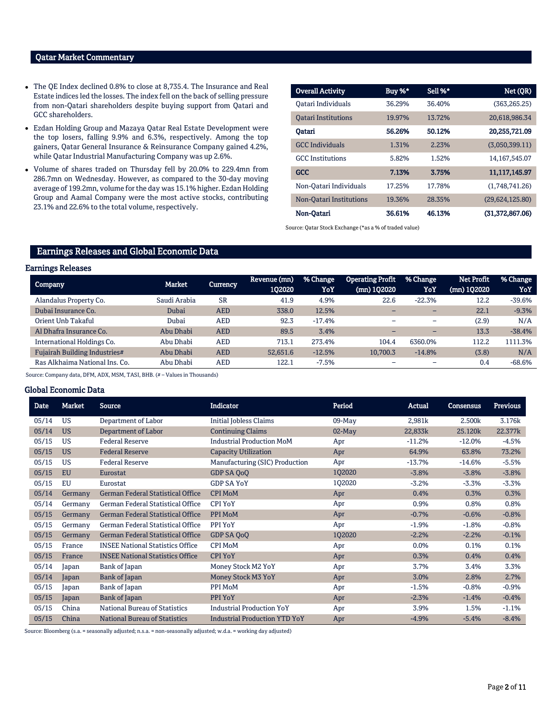# Qatar Market Commentary

- The QE Index declined 0.8% to close at 8,735.4. The Insurance and Real Estate indices led the losses. The index fell on the back of selling pressure from non-Qatari shareholders despite buying support from Qatari and GCC shareholders.
- Ezdan Holding Group and Mazaya Qatar Real Estate Development were the top losers, falling 9.9% and 6.3%, respectively. Among the top gainers, Qatar General Insurance & Reinsurance Company gained 4.2%, while Qatar Industrial Manufacturing Company was up 2.6%.
- Volume of shares traded on Thursday fell by 20.0% to 229.4mn from 286.7mn on Wednesday. However, as compared to the 30-day moving average of 199.2mn, volume for the day was 15.1% higher. Ezdan Holding Group and Aamal Company were the most active stocks, contributing 23.1% and 22.6% to the total volume, respectively.

| <b>Overall Activity</b>    | Buy %* | Sell %* | Net (QR)        |
|----------------------------|--------|---------|-----------------|
| Oatari Individuals         | 36.29% | 36.40%  | (363.265.25)    |
| <b>Oatari Institutions</b> | 19.97% | 13.72%  | 20,618,986.34   |
| Oatari                     | 56.26% | 50.12%  | 20,255,721.09   |
| <b>GCC Individuals</b>     | 1.31%  | 2.23%   | (3,050,399,11)  |
| <b>GCC</b> Institutions    | 5.82%  | 1.52%   | 14.167.545.07   |
| <b>GCC</b>                 | 7.13%  | 3.75%   | 11,117,145.97   |
| Non-Qatari Individuals     | 17.25% | 17.78%  | (1,748,741.26)  |
| Non-Oatari Institutions    | 19.36% | 28.35%  | (29,624,125.80) |
| Non-Qatari                 | 36.61% | 46.13%  | (31.372.867.06) |

Source: Qatar Stock Exchange (\*as a % of traded value)

# Earnings Releases and Global Economic Data

### Earnings Releases

| Company                        | Market       | Currency   | Revenue (mn)<br>102020 | % Change<br>YoY | <b>Operating Profit</b><br>(mn) 102020 | % Change<br>YoY          | <b>Net Profit</b><br>(mn) 1Q2020 | % Change<br>YoY |
|--------------------------------|--------------|------------|------------------------|-----------------|----------------------------------------|--------------------------|----------------------------------|-----------------|
| Alandalus Property Co.         | Saudi Arabia | <b>SR</b>  | 41.9                   | 4.9%            | 22.6                                   | $-22.3%$                 | 12.2                             | $-39.6%$        |
| Dubai Insurance Co.            | Dubai        | <b>AED</b> | 338.0                  | 12.5%           |                                        |                          | 22.1                             | $-9.3%$         |
| Orient Unb Takaful             | Dubai        | AED        | 92.3                   | $-17.4%$        | $\overline{\phantom{0}}$               | $\overline{\phantom{a}}$ | (2.9)                            | N/A             |
| Al Dhafra Insurance Co.        | Abu Dhabi    | <b>AED</b> | 89.5                   | 3.4%            |                                        | $\overline{\phantom{0}}$ | 13.3                             | $-38.4%$        |
| International Holdings Co.     | Abu Dhabi    | <b>AED</b> | 713.1                  | 273.4%          | 104.4                                  | 6360.0%                  | 112.2                            | 1111.3%         |
| Fujairah Building Industries#  | Abu Dhabi    | <b>AED</b> | 52,651.6               | $-12.5%$        | 10,700.3                               | $-14.8%$                 | (3.8)                            | N/A             |
| Ras Alkhaima National Ins. Co. | Abu Dhabi    | <b>AED</b> | 122.1                  | $-7.5%$         |                                        |                          | 0.4                              | $-68.6%$        |

Source: Company data, DFM, ADX, MSM, TASI, BHB. (# – Values in Thousands)

### Global Economic Data

| Date  | Market    | <b>Source</b>                           | <b>Indicator</b>                     | Period    | Actual   | <b>Consensus</b>   | <b>Previous</b> |
|-------|-----------|-----------------------------------------|--------------------------------------|-----------|----------|--------------------|-----------------|
| 05/14 | <b>US</b> | Department of Labor                     | Initial Jobless Claims               | 09-May    | 2,981k   | 2.500 <sub>k</sub> | 3.176k          |
| 05/14 | <b>US</b> | Department of Labor                     | <b>Continuing Claims</b>             | $02$ -May | 22,833k  | 25.120k            | 22.377k         |
| 05/15 | US        | <b>Federal Reserve</b>                  | <b>Industrial Production MoM</b>     | Apr       | $-11.2%$ | $-12.0%$           | $-4.5%$         |
| 05/15 | <b>US</b> | <b>Federal Reserve</b>                  | <b>Capacity Utilization</b>          | Apr       | 64.9%    | 63.8%              | 73.2%           |
| 05/15 | <b>US</b> | <b>Federal Reserve</b>                  | Manufacturing (SIC) Production       | Apr       | $-13.7%$ | $-14.6%$           | $-5.5%$         |
| 05/15 | <b>EU</b> | Eurostat                                | GDP SA OoO                           | 1Q2020    | $-3.8%$  | $-3.8%$            | $-3.8%$         |
| 05/15 | EU        | Eurostat                                | <b>GDP SA YoY</b>                    | 102020    | $-3.2\%$ | $-3.3%$            | $-3.3%$         |
| 05/14 | Germany   | German Federal Statistical Office       | <b>CPI MoM</b>                       | Apr       | 0.4%     | 0.3%               | 0.3%            |
| 05/14 | Germany   | German Federal Statistical Office       | <b>CPI YoY</b>                       | Apr       | 0.9%     | 0.8%               | 0.8%            |
| 05/15 | Germany   | German Federal Statistical Office       | PPI MoM                              | Apr       | $-0.7%$  | $-0.6%$            | $-0.8%$         |
| 05/15 | Germany   | German Federal Statistical Office       | PPI YoY                              | Apr       | $-1.9%$  | $-1.8%$            | $-0.8%$         |
| 05/15 | Germany   | German Federal Statistical Office       | GDP SA OoO                           | 1Q2020    | $-2.2%$  | $-2.2%$            | $-0.1%$         |
| 05/15 | France    | <b>INSEE National Statistics Office</b> | <b>CPI MoM</b>                       | Apr       | 0.0%     | 0.1%               | 0.1%            |
| 05/15 | France    | <b>INSEE National Statistics Office</b> | <b>CPI YoY</b>                       | Apr       | 0.3%     | 0.4%               | 0.4%            |
| 05/14 | Japan     | Bank of Japan                           | Money Stock M2 YoY                   | Apr       | 3.7%     | 3.4%               | 3.3%            |
| 05/14 | Japan     | Bank of Japan                           | Money Stock M3 YoY                   | Apr       | 3.0%     | 2.8%               | 2.7%            |
| 05/15 | Japan     | Bank of Japan                           | PPI MoM                              | Apr       | $-1.5%$  | $-0.8%$            | $-0.9%$         |
| 05/15 | Japan     | Bank of Japan                           | PPI YoY                              | Apr       | $-2.3%$  | $-1.4%$            | $-0.4%$         |
| 05/15 | China     | National Bureau of Statistics           | <b>Industrial Production YoY</b>     | Apr       | 3.9%     | 1.5%               | $-1.1%$         |
| 05/15 | China     | <b>National Bureau of Statistics</b>    | <b>Industrial Production YTD YoY</b> | Apr       | $-4.9%$  | $-5.4%$            | $-8.4%$         |

Source: Bloomberg (s.a. = seasonally adjusted; n.s.a. = non-seasonally adjusted; w.d.a. = working day adjusted)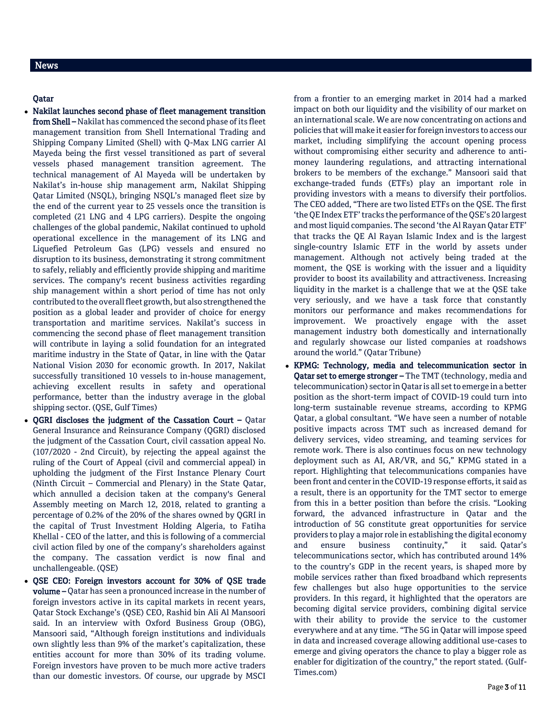# News

# Qatar

- Nakilat launches second phase of fleet management transition from Shell – Nakilat has commenced the second phase of its fleet management transition from Shell International Trading and Shipping Company Limited (Shell) with Q-Max LNG carrier Al Mayeda being the first vessel transitioned as part of several vessels phased management transition agreement. The technical management of Al Mayeda will be undertaken by Nakilat's in-house ship management arm, Nakilat Shipping Qatar Limited (NSQL), bringing NSQL's managed fleet size by the end of the current year to 25 vessels once the transition is completed (21 LNG and 4 LPG carriers). Despite the ongoing challenges of the global pandemic, Nakilat continued to uphold operational excellence in the management of its LNG and Liquefied Petroleum Gas (LPG) vessels and ensured no disruption to its business, demonstrating it strong commitment to safely, reliably and efficiently provide shipping and maritime services. The company's recent business activities regarding ship management within a short period of time has not only contributed to the overall fleet growth, but also strengthened the position as a global leader and provider of choice for energy transportation and maritime services. Nakilat's success in commencing the second phase of fleet management transition will contribute in laying a solid foundation for an integrated maritime industry in the State of Qatar, in line with the Qatar National Vision 2030 for economic growth. In 2017, Nakilat successfully transitioned 10 vessels to in-house management, achieving excellent results in safety and operational performance, better than the industry average in the global shipping sector. (QSE, Gulf Times)
- $\bullet$  QGRI discloses the judgment of the Cassation Court Qatar General Insurance and Reinsurance Company (QGRI) disclosed the judgment of the Cassation Court, civil cassation appeal No. (107/2020 - 2nd Circuit), by rejecting the appeal against the ruling of the Court of Appeal (civil and commercial appeal) in upholding the judgment of the First Instance Plenary Court (Ninth Circuit – Commercial and Plenary) in the State Qatar, which annulled a decision taken at the company's General Assembly meeting on March 12, 2018, related to granting a percentage of 0.2% of the 20% of the shares owned by QGRI in the capital of Trust Investment Holding Algeria, to Fatiha Khellal - CEO of the latter, and this is following of a commercial civil action filed by one of the company's shareholders against the company. The cassation verdict is now final and unchallengeable. (QSE)
- QSE CEO: Foreign investors account for 30% of QSE trade volume – Qatar has seen a pronounced increase in the number of foreign investors active in its capital markets in recent years, Qatar Stock Exchange's (QSE) CEO, Rashid bin Ali Al Mansoori said. In an interview with Oxford Business Group (OBG), Mansoori said, "Although foreign institutions and individuals own slightly less than 9% of the market's capitalization, these entities account for more than 30% of its trading volume. Foreign investors have proven to be much more active traders than our domestic investors. Of course, our upgrade by MSCI

from a frontier to an emerging market in 2014 had a marked impact on both our liquidity and the visibility of our market on an international scale. We are now concentrating on actions and policies that will make it easier for foreign investors to access our market, including simplifying the account opening process without compromising either security and adherence to antimoney laundering regulations, and attracting international brokers to be members of the exchange." Mansoori said that exchange-traded funds (ETFs) play an important role in providing investors with a means to diversify their portfolios. The CEO added, "There are two listed ETFs on the QSE. The first 'the QE Index ETF' tracks the performance of the QSE's 20 largest and most liquid companies. The second 'the Al Rayan Qatar ETF' that tracks the QE Al Rayan Islamic Index and is the largest single-country Islamic ETF in the world by assets under management. Although not actively being traded at the moment, the QSE is working with the issuer and a liquidity provider to boost its availability and attractiveness. Increasing liquidity in the market is a challenge that we at the QSE take very seriously, and we have a task force that constantly monitors our performance and makes recommendations for improvement. We proactively engage with the asset management industry both domestically and internationally and regularly showcase our listed companies at roadshows around the world." (Qatar Tribune)

 KPMG: Technology, media and telecommunication sector in Qatar set to emerge stronger - The TMT (technology, media and telecommunication) sector in Qatar is all set to emerge in a better position as the short-term impact of COVID-19 could turn into long-term sustainable revenue streams, according to KPMG Qatar, a global consultant. "We have seen a number of notable positive impacts across TMT such as increased demand for delivery services, video streaming, and teaming services for remote work. There is also continues focus on new technology deployment such as AI, AR/VR, and 5G," KPMG stated in a report. Highlighting that telecommunications companies have been front and center in the COVID-19 response efforts, it said as a result, there is an opportunity for the TMT sector to emerge from this in a better position than before the crisis. "Looking forward, the advanced infrastructure in Qatar and the introduction of 5G constitute great opportunities for service providers to play a major role in establishing the digital economy and ensure business continuity," it said. Qatar's telecommunications sector, which has contributed around 14% to the country's GDP in the recent years, is shaped more by mobile services rather than fixed broadband which represents few challenges but also huge opportunities to the service providers. In this regard, it highlighted that the operators are becoming digital service providers, combining digital service with their ability to provide the service to the customer everywhere and at any time. "The 5G in Qatar will impose speed in data and increased coverage allowing additional use-cases to emerge and giving operators the chance to play a bigger role as enabler for digitization of the country," the report stated. (Gulf-Times.com)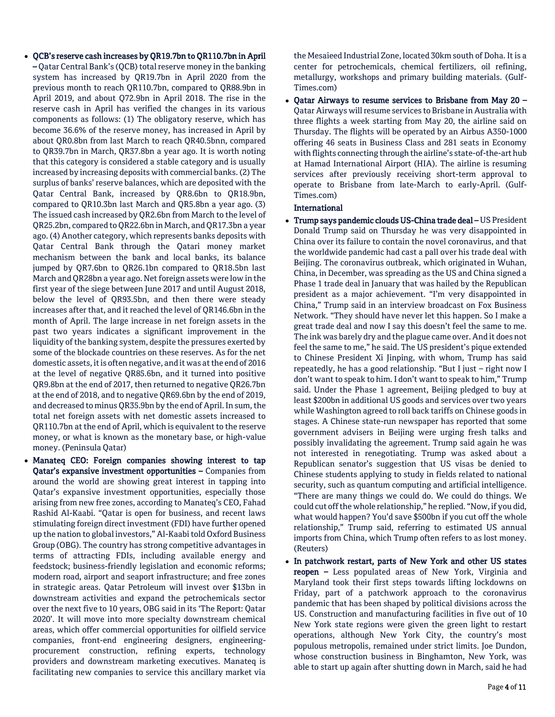- QCB's reserve cash increases by QR19.7bn to QR110.7bn in April – Qatar Central Bank's (QCB) total reserve money in the banking system has increased by QR19.7bn in April 2020 from the previous month to reach QR110.7bn, compared to QR88.9bn in April 2019, and about Q72.9bn in April 2018. The rise in the reserve cash in April has verified the changes in its various components as follows: (1) The obligatory reserve, which has become 36.6% of the reserve money, has increased in April by about QR0.8bn from last March to reach QR40.5bnn, compared to QR39.7bn in March, QR37.8bn a year ago. It is worth noting that this category is considered a stable category and is usually increased by increasing deposits with commercial banks. (2) The surplus of banks' reserve balances, which are deposited with the Qatar Central Bank, increased by QR8.6bn to QR18.9bn, compared to QR10.3bn last March and QR5.8bn a year ago. (3) The issued cash increased by QR2.6bn from March to the level of QR25.2bn, compared to QR22.6bn in March, and QR17.3bn a year ago. (4) Another category, which represents banks deposits with Qatar Central Bank through the Qatari money market mechanism between the bank and local banks, its balance jumped by QR7.6bn to QR26.1bn compared to QR18.5bn last March and QR28bn a year ago. Net foreign assets were low in the first year of the siege between June 2017 and until August 2018, below the level of QR93.5bn, and then there were steady increases after that, and it reached the level of QR146.6bn in the month of April. The large increase in net foreign assets in the past two years indicates a significant improvement in the liquidity of the banking system, despite the pressures exerted by some of the blockade countries on these reserves. As for the net domestic assets, it is often negative, and it was at the end of 2016 at the level of negative QR85.6bn, and it turned into positive QR9.8bn at the end of 2017, then returned to negative QR26.7bn at the end of 2018, and to negative QR69.6bn by the end of 2019, and decreased to minus QR35.9bn by the end of April. In sum, the total net foreign assets with net domestic assets increased to QR110.7bn at the end of April, which is equivalent to the reserve money, or what is known as the monetary base, or high-value money. (Peninsula Qatar) Manateq CEO: Foreign companies showing interest to tap Qatar's expansive investment opportunities – Companies from
- around the world are showing great interest in tapping into Qatar's expansive investment opportunities, especially those arising from new free zones, according to Manateq's CEO, Fahad Rashid Al-Kaabi. "Qatar is open for business, and recent laws stimulating foreign direct investment (FDI) have further opened up the nation to global investors," Al-Kaabi told Oxford Business Group (OBG). The country has strong competitive advantages in terms of attracting FDIs, including available energy and feedstock; business-friendly legislation and economic reforms; modern road, airport and seaport infrastructure; and free zones in strategic areas. Qatar Petroleum will invest over \$13bn in downstream activities and expand the petrochemicals sector over the next five to 10 years, OBG said in its 'The Report: Qatar 2020'. It will move into more specialty downstream chemical areas, which offer commercial opportunities for oilfield service companies, front-end engineering designers, engineeringprocurement construction, refining experts, technology providers and downstream marketing executives. Manateq is facilitating new companies to service this ancillary market via

the Mesaieed Industrial Zone, located 30km south of Doha. It is a center for petrochemicals, chemical fertilizers, oil refining, metallurgy, workshops and primary building materials. (Gulf-Times.com)

 Qatar Airways to resume services to Brisbane from May 20 – Qatar Airways will resume services to Brisbane in Australia with three flights a week starting from May 20, the airline said on Thursday. The flights will be operated by an Airbus A350-1000 offering 46 seats in Business Class and 281 seats in Economy with flights connecting through the airline's state-of-the-art hub at Hamad International Airport (HIA). The airline is resuming services after previously receiving short-term approval to operate to Brisbane from late-March to early-April. (Gulf-Times.com)

# International

- Trump says pandemic clouds US-China trade deal US President Donald Trump said on Thursday he was very disappointed in China over its failure to contain the novel coronavirus, and that the worldwide pandemic had cast a pall over his trade deal with Beijing. The coronavirus outbreak, which originated in Wuhan, China, in December, was spreading as the US and China signed a Phase 1 trade deal in January that was hailed by the Republican president as a major achievement. "I'm very disappointed in China," Trump said in an interview broadcast on Fox Business Network. "They should have never let this happen. So I make a great trade deal and now I say this doesn't feel the same to me. The ink was barely dry and the plague came over. And it does not feel the same to me," he said. The US president's pique extended to Chinese President Xi Jinping, with whom, Trump has said repeatedly, he has a good relationship. "But I just – right now I don't want to speak to him. I don't want to speak to him," Trump said. Under the Phase 1 agreement, Beijing pledged to buy at least \$200bn in additional US goods and services over two years while Washington agreed to roll back tariffs on Chinese goods in stages. A Chinese state-run newspaper has reported that some government advisers in Beijing were urging fresh talks and possibly invalidating the agreement. Trump said again he was not interested in renegotiating. Trump was asked about a Republican senator's suggestion that US visas be denied to Chinese students applying to study in fields related to national security, such as quantum computing and artificial intelligence. "There are many things we could do. We could do things. We could cut off the whole relationship," he replied. "Now, if you did, what would happen? You'd save \$500bn if you cut off the whole relationship," Trump said, referring to estimated US annual imports from China, which Trump often refers to as lost money. (Reuters)
- In patchwork restart, parts of New York and other US states reopen - Less populated areas of New York, Virginia and Maryland took their first steps towards lifting lockdowns on Friday, part of a patchwork approach to the coronavirus pandemic that has been shaped by political divisions across the US. Construction and manufacturing facilities in five out of 10 New York state regions were given the green light to restart operations, although New York City, the country's most populous metropolis, remained under strict limits. Joe Dundon, whose construction business in Binghamton, New York, was able to start up again after shutting down in March, said he had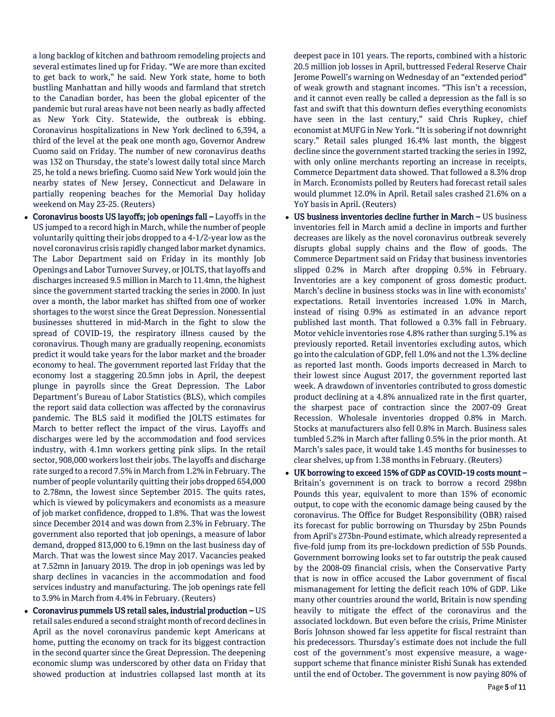a long backlog of kitchen and bathroom remodeling projects and several estimates lined up for Friday. "We are more than excited to get back to work," he said. New York state, home to both bustling Manhattan and hilly woods and farmland that stretch to the Canadian border, has been the global epicenter of the pandemic but rural areas have not been nearly as badly affected as New York City. Statewide, the outbreak is ebbing. Coronavirus hospitalizations in New York declined to 6,394, a third of the level at the peak one month ago, Governor Andrew Cuomo said on Friday. The number of new coronavirus deaths was 132 on Thursday, the state's lowest daily total since March 25, he told a news briefing. Cuomo said New York would join the nearby states of New Jersey, Connecticut and Delaware in partially reopening beaches for the Memorial Day holiday weekend on May 23-25. (Reuters)

- Coronavirus boosts US layoffs; job openings fall Layoffs in the US jumped to a record high in March, while the number of people voluntarily quitting their jobs dropped to a 4-1/2-year low as the novel coronavirus crisis rapidly changed labor market dynamics. The Labor Department said on Friday in its monthly Job Openings and Labor Turnover Survey, or JOLTS, that layoffs and discharges increased 9.5 million in March to 11.4mn, the highest since the government started tracking the series in 2000. In just over a month, the labor market has shifted from one of worker shortages to the worst since the Great Depression. Nonessential businesses shuttered in mid-March in the fight to slow the spread of COVID-19, the respiratory illness caused by the coronavirus. Though many are gradually reopening, economists predict it would take years for the labor market and the broader economy to heal. The government reported last Friday that the economy lost a staggering 20.5mn jobs in April, the deepest plunge in payrolls since the Great Depression. The Labor Department's Bureau of Labor Statistics (BLS), which compiles the report said data collection was affected by the coronavirus pandemic. The BLS said it modified the JOLTS estimates for March to better reflect the impact of the virus. Layoffs and discharges were led by the accommodation and food services industry, with 4.1mn workers getting pink slips. In the retail sector, 908,000 workers lost their jobs. The layoffs and discharge rate surged to a record 7.5% in March from 1.2% in February. The number of people voluntarily quitting their jobs dropped 654,000 to 2.78mn, the lowest since September 2015. The quits rates, which is viewed by policymakers and economists as a measure of job market confidence, dropped to 1.8%. That was the lowest since December 2014 and was down from 2.3% in February. The government also reported that job openings, a measure of labor demand, dropped 813,000 to 6.19mn on the last business day of March. That was the lowest since May 2017. Vacancies peaked at 7.52mn in January 2019. The drop in job openings was led by sharp declines in vacancies in the accommodation and food services industry and manufacturing. The job openings rate fell to 3.9% in March from 4.4% in February. (Reuters)
- Coronavirus pummels US retail sales, industrial production US retail sales endured a second straight month of record declines in April as the novel coronavirus pandemic kept Americans at home, putting the economy on track for its biggest contraction in the second quarter since the Great Depression. The deepening economic slump was underscored by other data on Friday that showed production at industries collapsed last month at its

deepest pace in 101 years. The reports, combined with a historic 20.5 million job losses in April, buttressed Federal Reserve Chair Jerome Powell's warning on Wednesday of an "extended period" of weak growth and stagnant incomes. "This isn't a recession, and it cannot even really be called a depression as the fall is so fast and swift that this downturn defies everything economists have seen in the last century," said Chris Rupkey, chief economist at MUFG in New York. "It is sobering if not downright scary." Retail sales plunged 16.4% last month, the biggest decline since the government started tracking the series in 1992, with only online merchants reporting an increase in receipts, Commerce Department data showed. That followed a 8.3% drop in March. Economists polled by Reuters had forecast retail sales would plummet 12.0% in April. Retail sales crashed 21.6% on a YoY basis in April. (Reuters)

- US business inventories decline further in March US business inventories fell in March amid a decline in imports and further decreases are likely as the novel coronavirus outbreak severely disrupts global supply chains and the flow of goods. The Commerce Department said on Friday that business inventories slipped 0.2% in March after dropping 0.5% in February. Inventories are a key component of gross domestic product. March's decline in business stocks was in line with economists' expectations. Retail inventories increased 1.0% in March, instead of rising 0.9% as estimated in an advance report published last month. That followed a 0.3% fall in February. Motor vehicle inventories rose 4.8% rather than surging 5.1% as previously reported. Retail inventories excluding autos, which go into the calculation of GDP, fell 1.0% and not the 1.3% decline as reported last month. Goods imports decreased in March to their lowest since August 2017, the government reported last week. A drawdown of inventories contributed to gross domestic product declining at a 4.8% annualized rate in the first quarter, the sharpest pace of contraction since the 2007-09 Great Recession. Wholesale inventories dropped 0.8% in March. Stocks at manufacturers also fell 0.8% in March. Business sales tumbled 5.2% in March after falling 0.5% in the prior month. At March's sales pace, it would take 1.45 months for businesses to clear shelves, up from 1.38 months in February. (Reuters)
- UK borrowing to exceed 15% of GDP as COVID-19 costs mount Britain's government is on track to borrow a record 298bn Pounds this year, equivalent to more than 15% of economic output, to cope with the economic damage being caused by the coronavirus. The Office for Budget Responsibility (OBR) raised its forecast for public borrowing on Thursday by 25bn Pounds from April's 273bn-Pound estimate, which already represented a five-fold jump from its pre-lockdown prediction of 55b Pounds. Government borrowing looks set to far outstrip the peak caused by the 2008-09 financial crisis, when the Conservative Party that is now in office accused the Labor government of fiscal mismanagement for letting the deficit reach 10% of GDP. Like many other countries around the world, Britain is now spending heavily to mitigate the effect of the coronavirus and the associated lockdown. But even before the crisis, Prime Minister Boris Johnson showed far less appetite for fiscal restraint than his predecessors. Thursday's estimate does not include the full cost of the government's most expensive measure, a wagesupport scheme that finance minister Rishi Sunak has extended until the end of October. The government is now paying 80% of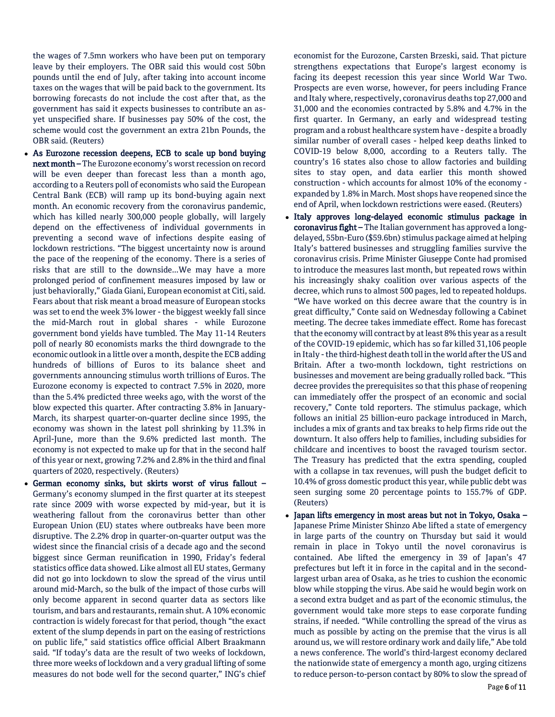the wages of 7.5mn workers who have been put on temporary leave by their employers. The OBR said this would cost 50bn pounds until the end of July, after taking into account income taxes on the wages that will be paid back to the government. Its borrowing forecasts do not include the cost after that, as the government has said it expects businesses to contribute an asyet unspecified share. If businesses pay 50% of the cost, the scheme would cost the government an extra 21bn Pounds, the OBR said. (Reuters)

- As Eurozone recession deepens, ECB to scale up bond buying next month – The Eurozone economy's worst recession on record will be even deeper than forecast less than a month ago, according to a Reuters poll of economists who said the European Central Bank (ECB) will ramp up its bond-buying again next month. An economic recovery from the coronavirus pandemic, which has killed nearly 300,000 people globally, will largely depend on the effectiveness of individual governments in preventing a second wave of infections despite easing of lockdown restrictions. "The biggest uncertainty now is around the pace of the reopening of the economy. There is a series of risks that are still to the downside...We may have a more prolonged period of confinement measures imposed by law or just behaviorally," Giada Giani, European economist at Citi, said. Fears about that risk meant a broad measure of European stocks was set to end the week 3% lower - the biggest weekly fall since the mid-March rout in global shares - while Eurozone government bond yields have tumbled. The May 11-14 Reuters poll of nearly 80 economists marks the third downgrade to the economic outlook in a little over a month, despite the ECB adding hundreds of billions of Euros to its balance sheet and governments announcing stimulus worth trillions of Euros. The Eurozone economy is expected to contract 7.5% in 2020, more than the 5.4% predicted three weeks ago, with the worst of the blow expected this quarter. After contracting 3.8% in January-March, its sharpest quarter-on-quarter decline since 1995, the economy was shown in the latest poll shrinking by 11.3% in April-June, more than the 9.6% predicted last month. The economy is not expected to make up for that in the second half of this year or next, growing 7.2% and 2.8% in the third and final quarters of 2020, respectively. (Reuters)
- German economy sinks, but skirts worst of virus fallout Germany's economy slumped in the first quarter at its steepest rate since 2009 with worse expected by mid-year, but it is weathering fallout from the coronavirus better than other European Union (EU) states where outbreaks have been more disruptive. The 2.2% drop in quarter-on-quarter output was the widest since the financial crisis of a decade ago and the second biggest since German reunification in 1990, Friday's federal statistics office data showed. Like almost all EU states, Germany did not go into lockdown to slow the spread of the virus until around mid-March, so the bulk of the impact of those curbs will only become apparent in second quarter data as sectors like tourism, and bars and restaurants, remain shut. A 10% economic contraction is widely forecast for that period, though "the exact extent of the slump depends in part on the easing of restrictions on public life," said statistics office official Albert Braakmann said. "If today's data are the result of two weeks of lockdown, three more weeks of lockdown and a very gradual lifting of some measures do not bode well for the second quarter," ING's chief

economist for the Eurozone, Carsten Brzeski, said. That picture strengthens expectations that Europe's largest economy is facing its deepest recession this year since World War Two. Prospects are even worse, however, for peers including France and Italy where, respectively, coronavirus deaths top 27,000 and 31,000 and the economies contracted by 5.8% and 4.7% in the first quarter. In Germany, an early and widespread testing program and a robust healthcare system have - despite a broadly similar number of overall cases - helped keep deaths linked to COVID-19 below 8,000, according to a Reuters tally. The country's 16 states also chose to allow factories and building sites to stay open, and data earlier this month showed construction - which accounts for almost 10% of the economy expanded by 1.8% in March. Most shops have reopened since the end of April, when lockdown restrictions were eased. (Reuters)

- Italy approves long-delayed economic stimulus package in coronavirus fight – The Italian government has approved a longdelayed, 55bn-Euro (\$59.6bn) stimulus package aimed at helping Italy's battered businesses and struggling families survive the coronavirus crisis. Prime Minister Giuseppe Conte had promised to introduce the measures last month, but repeated rows within his increasingly shaky coalition over various aspects of the decree, which runs to almost 500 pages, led to repeated holdups. "We have worked on this decree aware that the country is in great difficulty," Conte said on Wednesday following a Cabinet meeting. The decree takes immediate effect. Rome has forecast that the economy will contract by at least 8% this year as a result of the COVID-19 epidemic, which has so far killed 31,106 people in Italy - the third-highest death toll in the world after the US and Britain. After a two-month lockdown, tight restrictions on businesses and movement are being gradually rolled back. "This decree provides the prerequisites so that this phase of reopening can immediately offer the prospect of an economic and social recovery," Conte told reporters. The stimulus package, which follows an initial 25 billion-euro package introduced in March, includes a mix of grants and tax breaks to help firms ride out the downturn. It also offers help to families, including subsidies for childcare and incentives to boost the ravaged tourism sector. The Treasury has predicted that the extra spending, coupled with a collapse in tax revenues, will push the budget deficit to 10.4% of gross domestic product this year, while public debt was seen surging some 20 percentage points to 155.7% of GDP. (Reuters)
- Japan lifts emergency in most areas but not in Tokyo, Osaka Japanese Prime Minister Shinzo Abe lifted a state of emergency in large parts of the country on Thursday but said it would remain in place in Tokyo until the novel coronavirus is contained. Abe lifted the emergency in 39 of Japan's 47 prefectures but left it in force in the capital and in the secondlargest urban area of Osaka, as he tries to cushion the economic blow while stopping the virus. Abe said he would begin work on a second extra budget and as part of the economic stimulus, the government would take more steps to ease corporate funding strains, if needed. "While controlling the spread of the virus as much as possible by acting on the premise that the virus is all around us, we will restore ordinary work and daily life," Abe told a news conference. The world's third-largest economy declared the nationwide state of emergency a month ago, urging citizens to reduce person-to-person contact by 80% to slow the spread of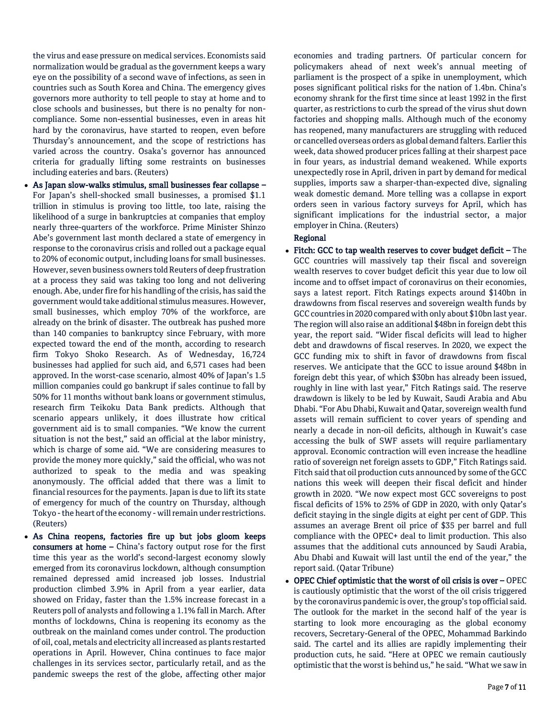the virus and ease pressure on medical services. Economists said normalization would be gradual as the government keeps a wary eye on the possibility of a second wave of infections, as seen in countries such as South Korea and China. The emergency gives governors more authority to tell people to stay at home and to close schools and businesses, but there is no penalty for noncompliance. Some non-essential businesses, even in areas hit hard by the coronavirus, have started to reopen, even before Thursday's announcement, and the scope of restrictions has varied across the country. Osaka's governor has announced criteria for gradually lifting some restraints on businesses including eateries and bars. (Reuters)

 As Japan slow-walks stimulus, small businesses fear collapse – For Japan's shell-shocked small businesses, a promised \$1.1 trillion in stimulus is proving too little, too late, raising the likelihood of a surge in bankruptcies at companies that employ nearly three-quarters of the workforce. Prime Minister Shinzo Abe's government last month declared a state of emergency in response to the coronavirus crisis and rolled out a package equal to 20% of economic output, including loans for small businesses. However, seven business owners told Reuters of deep frustration at a process they said was taking too long and not delivering enough. Abe, under fire for his handling of the crisis, has said the government would take additional stimulus measures. However, small businesses, which employ 70% of the workforce, are already on the brink of disaster. The outbreak has pushed more than 140 companies to bankruptcy since February, with more expected toward the end of the month, according to research firm Tokyo Shoko Research. As of Wednesday, 16,724 businesses had applied for such aid, and 6,571 cases had been approved. In the worst-case scenario, almost 40% of Japan's 1.5 million companies could go bankrupt if sales continue to fall by 50% for 11 months without bank loans or government stimulus, research firm Teikoku Data Bank predicts. Although that scenario appears unlikely, it does illustrate how critical government aid is to small companies. "We know the current situation is not the best," said an official at the labor ministry, which is charge of some aid. "We are considering measures to provide the money more quickly," said the official, who was not authorized to speak to the media and was speaking anonymously. The official added that there was a limit to financial resources for the payments. Japan is due to lift its state of emergency for much of the country on Thursday, although Tokyo -the heart of the economy - will remain under restrictions. (Reuters)

 As China reopens, factories fire up but jobs gloom keeps consumers at home – China's factory output rose for the first time this year as the world's second-largest economy slowly emerged from its coronavirus lockdown, although consumption remained depressed amid increased job losses. Industrial production climbed 3.9% in April from a year earlier, data showed on Friday, faster than the 1.5% increase forecast in a Reuters poll of analysts and following a 1.1% fall in March. After months of lockdowns, China is reopening its economy as the outbreak on the mainland comes under control. The production of oil, coal, metals and electricity all increased as plants restarted operations in April. However, China continues to face major challenges in its services sector, particularly retail, and as the pandemic sweeps the rest of the globe, affecting other major

economies and trading partners. Of particular concern for policymakers ahead of next week's annual meeting of parliament is the prospect of a spike in unemployment, which poses significant political risks for the nation of 1.4bn. China's economy shrank for the first time since at least 1992 in the first quarter, as restrictions to curb the spread of the virus shut down factories and shopping malls. Although much of the economy has reopened, many manufacturers are struggling with reduced or cancelled overseas orders as global demand falters. Earlier this week, data showed producer prices falling at their sharpest pace in four years, as industrial demand weakened. While exports unexpectedly rose in April, driven in part by demand for medical supplies, imports saw a sharper-than-expected dive, signaling weak domestic demand. More telling was a collapse in export orders seen in various factory surveys for April, which has significant implications for the industrial sector, a major employer in China. (Reuters)

# Regional

- Fitch: GCC to tap wealth reserves to cover budget deficit The GCC countries will massively tap their fiscal and sovereign wealth reserves to cover budget deficit this year due to low oil income and to offset impact of coronavirus on their economies, says a latest report. Fitch Ratings expects around \$140bn in drawdowns from fiscal reserves and sovereign wealth funds by GCC countries in 2020 compared with only about \$10bn last year. The region will also raise an additional \$48bn in foreign debt this year, the report said. "Wider fiscal deficits will lead to higher debt and drawdowns of fiscal reserves. In 2020, we expect the GCC funding mix to shift in favor of drawdowns from fiscal reserves. We anticipate that the GCC to issue around \$48bn in foreign debt this year, of which \$30bn has already been issued, roughly in line with last year," Fitch Ratings said. The reserve drawdown is likely to be led by Kuwait, Saudi Arabia and Abu Dhabi. "For Abu Dhabi, Kuwait and Qatar, sovereign wealth fund assets will remain sufficient to cover years of spending and nearly a decade in non-oil deficits, although in Kuwait's case accessing the bulk of SWF assets will require parliamentary approval. Economic contraction will even increase the headline ratio of sovereign net foreign assets to GDP," Fitch Ratings said. Fitch said that oil production cuts announced by some of the GCC nations this week will deepen their fiscal deficit and hinder growth in 2020. "We now expect most GCC sovereigns to post fiscal deficits of 15% to 25% of GDP in 2020, with only Qatar's deficit staying in the single digits at eight per cent of GDP. This assumes an average Brent oil price of \$35 per barrel and full compliance with the OPEC+ deal to limit production. This also assumes that the additional cuts announced by Saudi Arabia, Abu Dhabi and Kuwait will last until the end of the year," the report said. (Qatar Tribune)
- OPEC Chief optimistic that the worst of oil crisis is over OPEC is cautiously optimistic that the worst of the oil crisis triggered by the coronavirus pandemic is over, the group's top official said. The outlook for the market in the second half of the year is starting to look more encouraging as the global economy recovers, Secretary-General of the OPEC, Mohammad Barkindo said. The cartel and its allies are rapidly implementing their production cuts, he said. "Here at OPEC we remain cautiously optimistic that the worst is behind us," he said. "What we saw in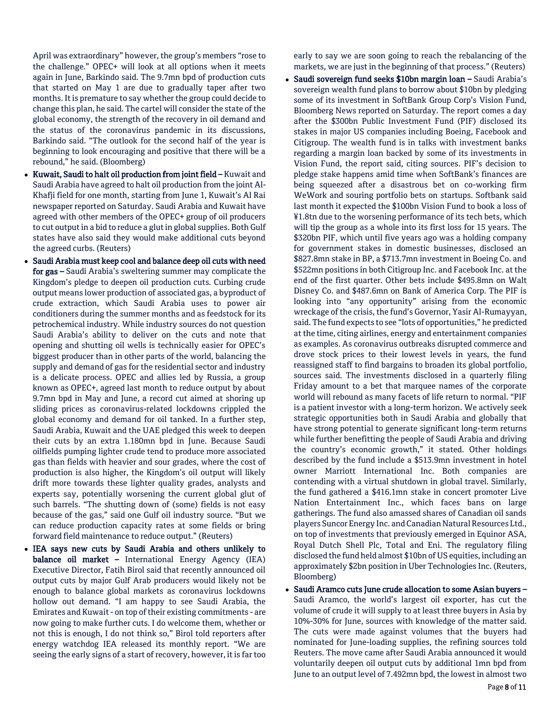April was extraordinary" however, the group's members "rose to the challenge." OPEC+ will look at all options when it meets again in June, Barkindo said. The 9.7mn bpd of production cuts that started on May 1 are due to gradually taper after two months. It is premature to say whether the group could decide to change this plan, he said. The cartel will consider the state of the global economy, the strength of the recovery in oil demand and the status of the coronavirus pandemic in its discussions, Barkindo said. "The outlook for the second half of the year is beginning to look encouraging and positive that there will be a rebound," he said. (Bloomberg)

- Kuwait, Saudi to halt oil production from joint field Kuwait and Saudi Arabia have agreed to halt oil production from the joint Al-Khafji field for one month, starting from June 1, Kuwait's Al Rai newspaper reported on Saturday. Saudi Arabia and Kuwait have agreed with other members of the OPEC+ group of oil producers to cut output in a bid to reduce a glut in global supplies. Both Gulf states have also said they would make additional cuts beyond the agreed curbs. (Reuters)
- Saudi Arabia must keep cool and balance deep oil cuts with need for gas – Saudi Arabia's sweltering summer may complicate the Kingdom's pledge to deepen oil production cuts. Curbing crude output means lower production of associated gas, a byproduct of crude extraction, which Saudi Arabia uses to power air conditioners during the summer months and as feedstock for its petrochemical industry. While industry sources do not question Saudi Arabia's ability to deliver on the cuts and note that opening and shutting oil wells is technically easier for OPEC's biggest producer than in other parts of the world, balancing the supply and demand of gas for the residential sector and industry is a delicate process. OPEC and allies led by Russia, a group known as OPEC+, agreed last month to reduce output by about 9.7mn bpd in May and June, a record cut aimed at shoring up sliding prices as coronavirus-related lockdowns crippled the global economy and demand for oil tanked. In a further step, Saudi Arabia, Kuwait and the UAE pledged this week to deepen their cuts by an extra 1.180mn bpd in June. Because Saudi oilfields pumping lighter crude tend to produce more associated gas than fields with heavier and sour grades, where the cost of production is also higher, the Kingdom's oil output will likely drift more towards these lighter quality grades, analysts and experts say, potentially worsening the current global glut of such barrels. "The shutting down of (some) fields is not easy because of the gas," said one Gulf oil industry source. "But we can reduce production capacity rates at some fields or bring forward field maintenance to reduce output." (Reuters)
- IEA says new cuts by Saudi Arabia and others unlikely to balance oil market – International Energy Agency (IEA) Executive Director, Fatih Birol said that recently announced oil output cuts by major Gulf Arab producers would likely not be enough to balance global markets as coronavirus lockdowns hollow out demand. "I am happy to see Saudi Arabia, the Emirates and Kuwait - on top of their existing commitments - are now going to make further cuts. I do welcome them, whether or not this is enough, I do not think so," Birol told reporters after energy watchdog IEA released its monthly report. "We are seeing the early signs of a start of recovery, however, it is far too

early to say we are soon going to reach the rebalancing of the markets, we are just in the beginning of that process." (Reuters)

- Saudi sovereign fund seeks \$10bn margin loan Saudi Arabia's sovereign wealth fund plans to borrow about \$10bn by pledging some of its investment in SoftBank Group Corp's Vision Fund, Bloomberg News reported on Saturday. The report comes a day after the \$300bn Public Investment Fund (PIF) disclosed its stakes in major US companies including Boeing, Facebook and Citigroup. The wealth fund is in talks with investment banks regarding a margin loan backed by some of its investments in Vision Fund, the report said, citing sources. PIF's decision to pledge stake happens amid time when SoftBank's finances are being squeezed after a disastrous bet on co-working firm WeWork and souring portfolio bets on startups. Softbank said last month it expected the \$100bn Vision Fund to book a loss of ¥1.8tn due to the worsening performance of its tech bets, which will tip the group as a whole into its first loss for 15 years. The \$320bn PIF, which until five years ago was a holding company for government stakes in domestic businesses, disclosed an \$827.8mn stake in BP, a \$713.7mn investment in Boeing Co. and \$522mn positions in both Citigroup Inc. and Facebook Inc. at the end of the first quarter. Other bets include \$495.8mn on Walt Disney Co. and \$487.6mn on Bank of America Corp. The PIF is looking into "any opportunity" arising from the economic wreckage of the crisis, the fund's Governor, Yasir Al-Rumayyan, said. The fund expects to see "lots of opportunities," he predicted at the time, citing airlines, energy and entertainment companies as examples. As coronavirus outbreaks disrupted commerce and drove stock prices to their lowest levels in years, the fund reassigned staff to find bargains to broaden its global portfolio, sources said. The investments disclosed in a quarterly filing Friday amount to a bet that marquee names of the corporate world will rebound as many facets of life return to normal. "PIF is a patient investor with a long-term horizon. We actively seek strategic opportunities both in Saudi Arabia and globally that have strong potential to generate significant long-term returns while further benefitting the people of Saudi Arabia and driving the country's economic growth," it stated. Other holdings described by the fund include a \$513.9mn investment in hotel owner Marriott International Inc. Both companies are contending with a virtual shutdown in global travel. Similarly, the fund gathered a \$416.1mn stake in concert promoter Live Nation Entertainment Inc., which faces bans on large gatherings. The fund also amassed shares of Canadian oil sands players Suncor Energy Inc. and Canadian Natural Resources Ltd., on top of investments that previously emerged in Equinor ASA, Royal Dutch Shell Plc, Total and Eni. The regulatory filing disclosed the fund held almost \$10bn of US equities, including an approximately \$2bn position in Uber Technologies Inc. (Reuters, Bloomberg)
- Saudi Aramco cuts June crude allocation to some Asian buyers Saudi Aramco, the world's largest oil exporter, has cut the volume of crude it will supply to at least three buyers in Asia by 10%-30% for June, sources with knowledge of the matter said. The cuts were made against volumes that the buyers had nominated for June-loading supplies, the refining sources told Reuters. The move came after Saudi Arabia announced it would voluntarily deepen oil output cuts by additional 1mn bpd from June to an output level of 7.492mn bpd, the lowest in almost two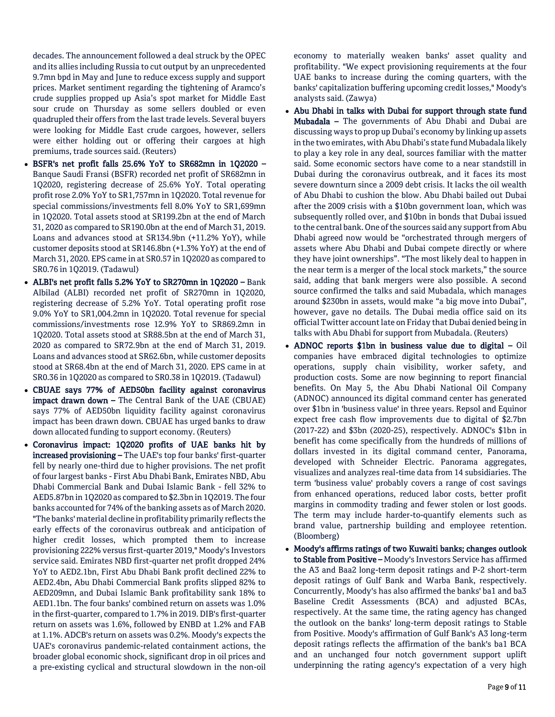decades. The announcement followed a deal struck by the OPEC and its allies including Russia to cut output by an unprecedented 9.7mn bpd in May and June to reduce excess supply and support prices. Market sentiment regarding the tightening of Aramco's crude supplies propped up Asia's spot market for Middle East sour crude on Thursday as some sellers doubled or even quadrupled their offers from the last trade levels. Several buyers were looking for Middle East crude cargoes, however, sellers were either holding out or offering their cargoes at high premiums, trade sources said. (Reuters)

- BSFR's net profit falls 25.6% YoY to SR682mn in 1Q2020 Banque Saudi Fransi (BSFR) recorded net profit of SR682mn in 1Q2020, registering decrease of 25.6% YoY. Total operating profit rose 2.0% YoY to SR1,757mn in 1Q2020. Total revenue for special commissions/investments fell 8.0% YoY to SR1,699mn in 1Q2020. Total assets stood at SR199.2bn at the end of March 31, 2020 as compared to SR190.0bn at the end of March 31, 2019. Loans and advances stood at SR134.9bn (+11.2% YoY), while customer deposits stood at SR146.8bn (+1.3% YoY) at the end of March 31, 2020. EPS came in at SR0.57 in 1Q2020 as compared to SR0.76 in 1Q2019. (Tadawul)
- ALBI's net profit falls 5.2% YoY to SR270mn in 1Q2020 Bank Albilad (ALBI) recorded net profit of SR270mn in 1Q2020, registering decrease of 5.2% YoY. Total operating profit rose 9.0% YoY to SR1,004.2mn in 1Q2020. Total revenue for special commissions/investments rose 12.9% YoY to SR869.2mn in 1Q2020. Total assets stood at SR88.5bn at the end of March 31, 2020 as compared to SR72.9bn at the end of March 31, 2019. Loans and advances stood at SR62.6bn, while customer deposits stood at SR68.4bn at the end of March 31, 2020. EPS came in at SR0.36 in 1Q2020 as compared to SR0.38 in 1Q2019. (Tadawul)
- CBUAE says 77% of AED50bn facility against coronavirus impact drawn down – The Central Bank of the UAE (CBUAE) says 77% of AED50bn liquidity facility against coronavirus impact has been drawn down. CBUAE has urged banks to draw down allocated funding to support economy. (Reuters)
- Coronavirus impact: 1Q2020 profits of UAE banks hit by increased provisioning – The UAE's top four banks' first-quarter fell by nearly one-third due to higher provisions. The net profit of four largest banks - First Abu Dhabi Bank, Emirates NBD, Abu Dhabi Commercial Bank and Dubai Islamic Bank - fell 32% to AED5.87bn in 1Q2020 as compared to \$2.3bn in 1Q2019. The four banks accounted for 74% of the banking assets as of March 2020. "The banks' material decline in profitability primarily reflects the early effects of the coronavirus outbreak and anticipation of higher credit losses, which prompted them to increase provisioning 222% versus first-quarter 2019," Moody's Investors service said. Emirates NBD first-quarter net profit dropped 24% YoY to AED2.1bn, First Abu Dhabi Bank profit declined 22% to AED2.4bn, Abu Dhabi Commercial Bank profits slipped 82% to AED209mn, and Dubai Islamic Bank profitability sank 18% to AED1.1bn. The four banks' combined return on assets was 1.0% in the first-quarter, compared to 1.7% in 2019. DIB's first-quarter return on assets was 1.6%, followed by ENBD at 1.2% and FAB at 1.1%. ADCB's return on assets was 0.2%. Moody's expects the UAE's coronavirus pandemic-related containment actions, the broader global economic shock, significant drop in oil prices and a pre-existing cyclical and structural slowdown in the non-oil

economy to materially weaken banks' asset quality and profitability. "We expect provisioning requirements at the four UAE banks to increase during the coming quarters, with the banks' capitalization buffering upcoming credit losses," Moody's analysts said. (Zawya)

- Abu Dhabi in talks with Dubai for support through state fund Mubadala – The governments of Abu Dhabi and Dubai are discussing ways to prop up Dubai's economy by linking up assets in the two emirates, with Abu Dhabi's state fund Mubadala likely to play a key role in any deal, sources familiar with the matter said. Some economic sectors have come to a near standstill in Dubai during the coronavirus outbreak, and it faces its most severe downturn since a 2009 debt crisis. It lacks the oil wealth of Abu Dhabi to cushion the blow. Abu Dhabi bailed out Dubai after the 2009 crisis with a \$10bn government loan, which was subsequently rolled over, and \$10bn in bonds that Dubai issued to the central bank. One of the sources said any support from Abu Dhabi agreed now would be "orchestrated through mergers of assets where Abu Dhabi and Dubai compete directly or where they have joint ownerships". "The most likely deal to happen in the near term is a merger of the local stock markets," the source said, adding that bank mergers were also possible. A second source confirmed the talks and said Mubadala, which manages around \$230bn in assets, would make "a big move into Dubai", however, gave no details. The Dubai media office said on its official Twitter account late on Friday that Dubai denied being in talks with Abu Dhabi for support from Mubadala. (Reuters)
- ADNOC reports \$1bn in business value due to digital Oil companies have embraced digital technologies to optimize operations, supply chain visibility, worker safety, and production costs. Some are now beginning to report financial benefits. On May 5, the Abu Dhabi National Oil Company (ADNOC) announced its digital command center has generated over \$1bn in 'business value' in three years. Repsol and Equinor expect free cash flow improvements due to digital of \$2.7bn (2017-22) and \$3bn (2020-25), respectively. ADNOC's \$1bn in benefit has come specifically from the hundreds of millions of dollars invested in its digital command center, Panorama, developed with Schneider Electric. Panorama aggregates, visualizes and analyzes real-time data from 14 subsidiaries. The term 'business value' probably covers a range of cost savings from enhanced operations, reduced labor costs, better profit margins in commodity trading and fewer stolen or lost goods. The term may include harder-to-quantify elements such as brand value, partnership building and employee retention. (Bloomberg)
- Moody's affirms ratings of two Kuwaiti banks; changes outlook to Stable from Positive - Moody's Investors Service has affirmed the A3 and Baa2 long-term deposit ratings and P-2 short-term deposit ratings of Gulf Bank and Warba Bank, respectively. Concurrently, Moody's has also affirmed the banks' ba1 and ba3 Baseline Credit Assessments (BCA) and adjusted BCAs, respectively. At the same time, the rating agency has changed the outlook on the banks' long-term deposit ratings to Stable from Positive. Moody's affirmation of Gulf Bank's A3 long-term deposit ratings reflects the affirmation of the bank's ba1 BCA and an unchanged four notch government support uplift underpinning the rating agency's expectation of a very high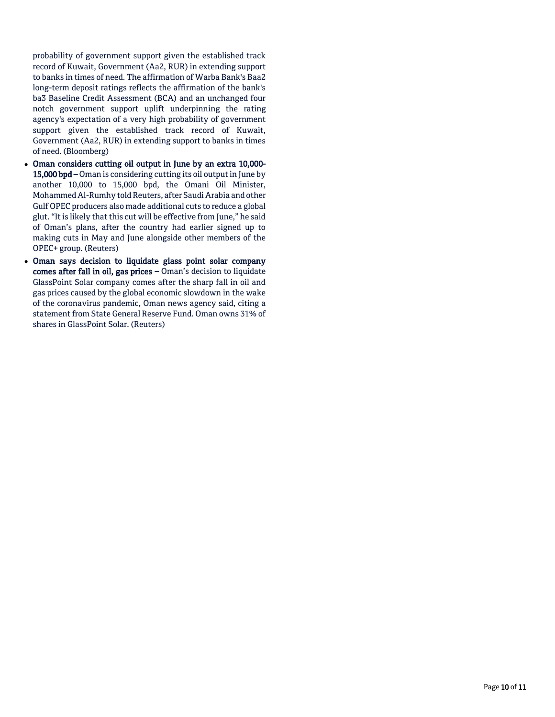probability of government support given the established track record of Kuwait, Government (Aa2, RUR) in extending support to banks in times of need. The affirmation of Warba Bank's Baa2 long-term deposit ratings reflects the affirmation of the bank's ba3 Baseline Credit Assessment (BCA) and an unchanged four notch government support uplift underpinning the rating agency's expectation of a very high probability of government support given the established track record of Kuwait, Government (Aa2, RUR) in extending support to banks in times of need. (Bloomberg)

- Oman considers cutting oil output in June by an extra 10,000- 15,000 bpd – Oman is considering cutting its oil output in June by another 10,000 to 15,000 bpd, the Omani Oil Minister, Mohammed Al-Rumhy told Reuters, after Saudi Arabia and other Gulf OPEC producers also made additional cuts to reduce a global glut. "It is likely that this cut will be effective from June," he said of Oman's plans, after the country had earlier signed up to making cuts in May and June alongside other members of the OPEC+ group. (Reuters)
- Oman says decision to liquidate glass point solar company comes after fall in oil, gas prices – Oman's decision to liquidate GlassPoint Solar company comes after the sharp fall in oil and gas prices caused by the global economic slowdown in the wake of the coronavirus pandemic, Oman news agency said, citing a statement from State General Reserve Fund. Oman owns 31% of shares in GlassPoint Solar. (Reuters)